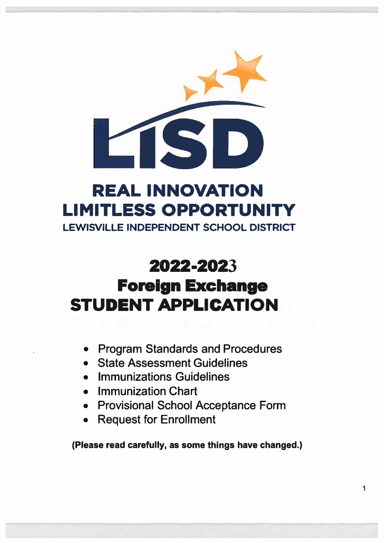

# **REAL INNOVATION LIMITLESS OPPORTUNITY**

**LEWISVILLE INDEPENDENT SCHOOL DISTRICT** 

# **2022-2023**

# **Foreign Exchange STUDENT APPLICATION**

- Program Standards and Procedures
- State Assessment Guidelines
- Immunizations Guidelines
- Immunization Chart
- Provisional School Acceptance Form
- Request for Enrollment

**(Please read carefully, as some things have changed.)**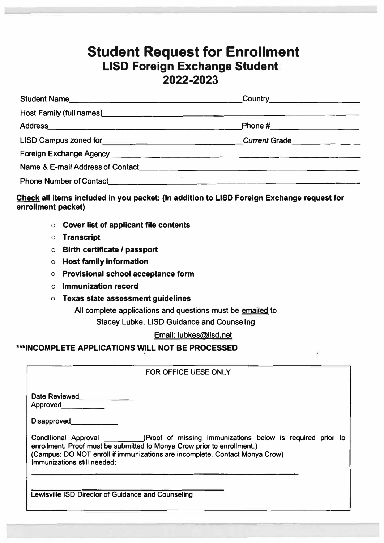#### **Student Request for Enrollment LISD Foreign Exchange Student 2022-2023**

| Student Name                                                                                                                                                                                                                     | Country 2008                |
|----------------------------------------------------------------------------------------------------------------------------------------------------------------------------------------------------------------------------------|-----------------------------|
|                                                                                                                                                                                                                                  |                             |
|                                                                                                                                                                                                                                  | Phone #____________________ |
| LISD Campus zoned for <b>Example 2018</b> 2014 11:50 Campus 2016                                                                                                                                                                 | Current Grade               |
|                                                                                                                                                                                                                                  |                             |
| Name & E-mail Address of Contact<br>expression of the context of the context of Contact and Context of the context of the context of the context of the context of the context of the context of the context of the context of t |                             |
| The Contract of the Sea                                                                                                                                                                                                          |                             |

#### **Check all items included in you packet: (In addition to LISD Foreign Exchange request for enrollment packet)**

- **o Cover list of applicant file contents**
- **o Transcript**
- **o Birth certificate/ passport**
- **o Host family information**
- **o Provisional school acceptance form**
- **o Immunization record**
- **o Texas state assessment guidelines**

**All complete applications and questions must be emailed to** 

**Stacey Lubke, LISD Guidance and Counseling** 

**Email: lubkes@lisd.net** 

#### **-\*INCOMPLETE APPLICATIONS WILL NOT BE PROCESSED**

**FOR OFFICE UESE ONLY** 

Date Reviewed\_\_\_\_\_\_\_\_\_\_\_\_ Approved. **Approved. Approved. Approved. Approved. Approved. Approved. Approved. Approved. Approved. Approved. Approved. Approved. Approved. Approved. Approved. Approved. Approved. Approve** 

**Disapproved. \_\_\_\_ \_** 

**Conditional Approval (Proof of missing immunizations below is required prior to enrollment. Proof must be submitted to Manya Crow prior to enrollment.) (Campus: DO NOT enroll if immunizations are incomplete. Contact Manya Crow) Immunizations still needed:** 

**Lewisville ISD Director of Guidance and Counseling**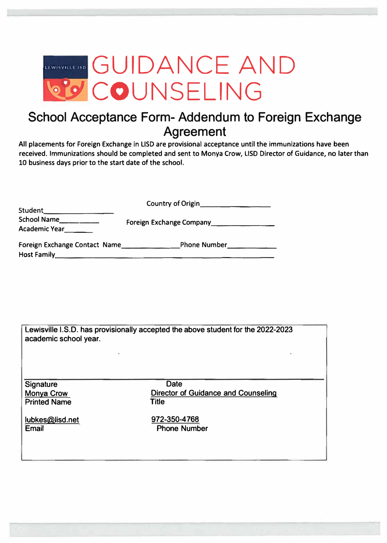

### **School Acceptance Form- Addendum to Foreign Exchange Agreement**

**All placements for Foreign Exchange in USO are provisional acceptance until the immunizations have been**  received. Immunizations should be completed and sent to Monya Crow, LISD Director of Guidance, no later than **10 business days prior to the start date of the school.** 

| Student_                                                                                                         | Country of Origin                          |  |
|------------------------------------------------------------------------------------------------------------------|--------------------------------------------|--|
| <b>School Name</b><br><b>Academic Year</b>                                                                       | Foreign Exchange Company__________________ |  |
| <b>Foreign Exchange Contact Name</b><br><b>Host Family</b><br>the company support the property of the company of | <b>Phone Number</b> Phone 2014             |  |

| Lewisville I.S.D. has provisionally accepted the above student for the 2022-2023<br>academic school year. |                                                                           |  |  |
|-----------------------------------------------------------------------------------------------------------|---------------------------------------------------------------------------|--|--|
|                                                                                                           |                                                                           |  |  |
| Signature<br><b>Monya Crow</b><br><b>Printed Name</b>                                                     | <b>Date</b><br><b>Director of Guidance and Counseling</b><br><b>Title</b> |  |  |
| lubkes@lisd.net<br>Email                                                                                  | 972-350-4768<br><b>Phone Number</b>                                       |  |  |
|                                                                                                           |                                                                           |  |  |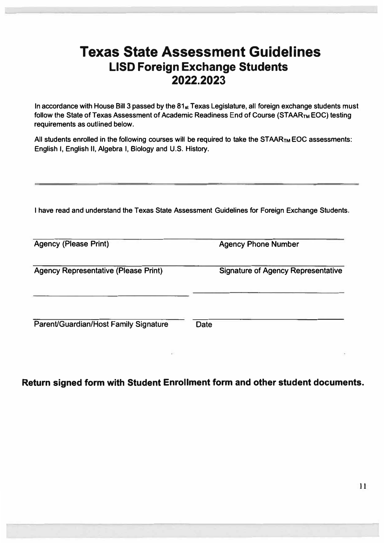## **Texas State Assessment Guidelines LISD Foreign Exchange Students 2022.2023**

**In accordance with House Bill 3 passed by the 81st Texas Legislature, all foreign exchange students must**  follow the State of Texas Assessment of Academic Readiness End of Course (STAAR<sub>TM</sub> EOC) testing **requirements as outlined below.** 

**All students enrolled in the following courses will be required to take the STAAR™ EOC assessments: English I, English II, Algebra I, Biology and U.S. History.** 

**I have read and understand the Texas State Assessment Guidelines for Foreign Exchange Students.** 

| <b>Agency (Please Print)</b>                | <b>Agency Phone Number</b>                |
|---------------------------------------------|-------------------------------------------|
| <b>Agency Representative (Please Print)</b> | <b>Signature of Agency Representative</b> |
| Parent/Guardian/Host Family Signature       | <b>Date</b>                               |

#### **Return signed form with Student Enrollment form and other student documents.**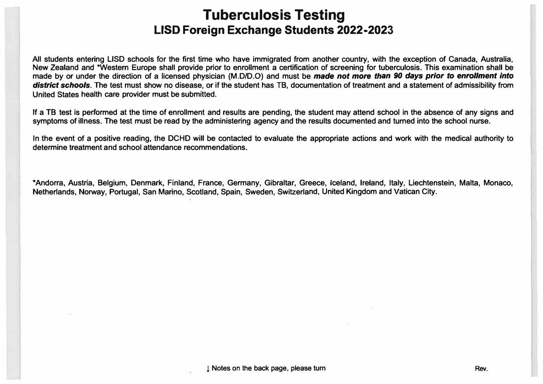## **Tuberculosis Testing LISD Foreign Exchange Students 2022-2023**

All students entering LISD schools for the first time who have immigrated from another country, with the exception of Canada, Australia, New Zealand and \*Western Europe shall provide prior to enrollment a certification of screening for tuberculosis. This examination shall be made by or under the direction of a licensed physician (M.D/D.O) and must be made not more than 90 days prior to enrollment into *district schools.* **The test must show no disease, or if the student has TB, documentation of treatment and a statement of admissibility from United States health care provider must be submitted.** 

If a TB test is performed at the time of enrollment and results are pending, the student may attend school in the absence of any signs and **symptoms of illness. The test must be read by the administering agency and the results documented and turned into the school nurse.** 

In the event of a positive reading, the DCHD will be contacted to evaluate the appropriate actions and work with the medical authority to **determine treatment and school attendance recommendations.** 

\*Andorra, Austria, Belgium, Denmark, Finland, France, Germany, Gibraltar, Greece, Iceland, Ireland, Italy, Liechtenstein, Malta, Monaco, **Netherlands, Norway, Portugal, San Marino, Scotland, Spain, Sweden, Switzerland, United Kingdom and Vatican City.**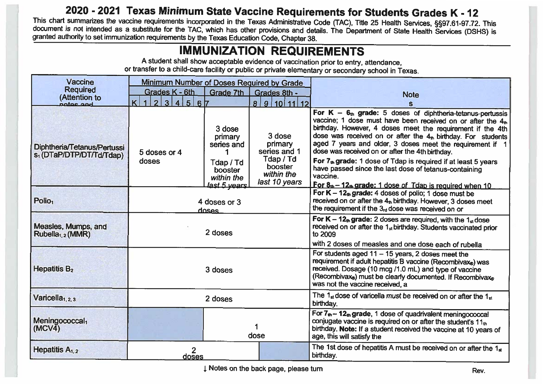#### 2020 - 2021 Texas Minimum State Vaccine Requirements for Students Grades K - 12

This chart summarizes the vaccine requirements incorporated in the Texas Administrative Code (TAC), Title 25 Health Services, §§97.61-97.72. This document is not intended as a substitute for the TAC, which has other provisions and details. The Department of State Health Services (DSHS) is granted authority to set immunization requirements by the Texas Education Code, Chapter 38.

#### **IMMUNIZATION REQUIREMENTS**

A student shall show acceptable evidence of vaccination prior to entry, attendance, or transfer to a child-care facility or public or private elementary or secondary school in Texas.

| <b>Vaccine</b>                                                      | <b>Minimum Number of Doses Required by Grade</b> |                                    |                                                     |                                                                                                                                                                                                                                                                                                                                                                                         |  |
|---------------------------------------------------------------------|--------------------------------------------------|------------------------------------|-----------------------------------------------------|-----------------------------------------------------------------------------------------------------------------------------------------------------------------------------------------------------------------------------------------------------------------------------------------------------------------------------------------------------------------------------------------|--|
| <b>Required</b><br>(Attention to                                    | Grades K - 6th                                   | Grade 7th                          | Grades 8th -                                        | <b>Note</b>                                                                                                                                                                                                                                                                                                                                                                             |  |
| hne sator                                                           | 3 4 5 6 7<br>$\vert$<br>K                        |                                    | 8 9 10 11 12                                        |                                                                                                                                                                                                                                                                                                                                                                                         |  |
| Diphtheria/Tetanus/Pertussi<br>s <sub>1</sub> (DTaP/DTP/DT/Td/Tdap) | 5 doses or 4                                     | 3 dose<br>primary<br>series and    | 3 dose<br>primary<br>series and 1                   | For $K - 6$ <sub>th</sub> grade: 5 doses of diphtheria-tetanus-pertussis<br>vaccine; 1 dose must have been received on or after the $4th$<br>birthday. However, 4 doses meet the requirement if the 4th<br>dose was received on or after the 4th birthday. For students<br>aged 7 years and older, 3 doses meet the requirement if 1<br>dose was received on or after the 4th birthday. |  |
|                                                                     | doses                                            | Tdap / Td<br>booster<br>within the | Tdap / Td<br>booster<br>within the<br>last 10 years | For 7th grade: 1 dose of Tdap is required if at least 5 years<br>have passed since the last dose of tetanus-containing<br>vaccine.<br>For 8 <sub>th</sub> - 12 <sub>th</sub> grade: 1 dose of Tdap is required when 10                                                                                                                                                                  |  |
| Polio <sub>1</sub>                                                  | last 5 vears<br>4 doses or 3<br>doses            |                                    |                                                     | For $K - 12th$ grade: 4 doses of polio; 1 dose must be<br>received on or after the 4th birthday. However, 3 doses meet<br>the requirement if the $3rd$ dose was received on or                                                                                                                                                                                                          |  |
| Measles, Mumps, and<br>Rubella <sub>1,2</sub> (MMR)                 | 2 doses                                          |                                    |                                                     | For $K - 12th$ grade: 2 doses are required, with the 1st dose<br>received on or after the 1 <sub>st</sub> birthday. Students vaccinated prior<br>to 2009                                                                                                                                                                                                                                |  |
|                                                                     |                                                  |                                    |                                                     | with 2 doses of measles and one dose each of rubella                                                                                                                                                                                                                                                                                                                                    |  |
| Hepatitis $B2$                                                      | 3 doses                                          |                                    |                                                     | For students aged $11 - 15$ years, 2 doses meet the<br>requirement if adult hepatitis B vaccine (Recombivax®) was<br>received. Dosage (10 mcg /1.0 mL) and type of vaccine<br>(Recombivax®) must be clearly documented. If Recombivax®<br>was not the vaccine received, a                                                                                                               |  |
| Varicella <sub>1, 2, 3</sub>                                        | 2 doses                                          |                                    |                                                     | The 1 $_{st}$ dose of varicella must be received on or after the 1 $_{st}$<br>birthday.                                                                                                                                                                                                                                                                                                 |  |
| Meningococcal <sub>1</sub><br>(MCV4)                                |                                                  | dose                               |                                                     | For $7th - 12th$ grade, 1 dose of quadrivalent meningococcal<br>conjugate vaccine is required on or after the student's 11th<br>birthday. Note: If a student received the vaccine at 10 years of<br>age, this will satisfy the                                                                                                                                                          |  |
| Hepatitis A <sub>1, 2</sub>                                         | 2<br>doses                                       |                                    |                                                     | The 1st dose of hepatitis A must be received on or after the 1st<br>birthday.                                                                                                                                                                                                                                                                                                           |  |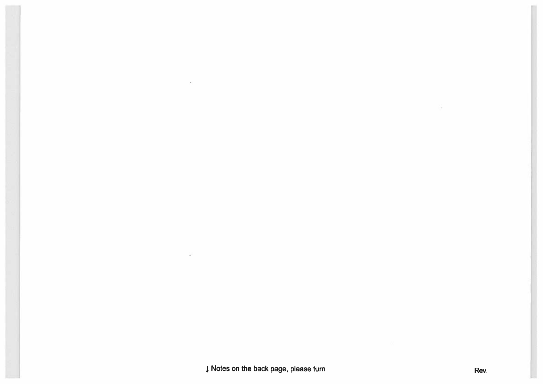J Notes on the back page, please turn

Rev.

 $\sim$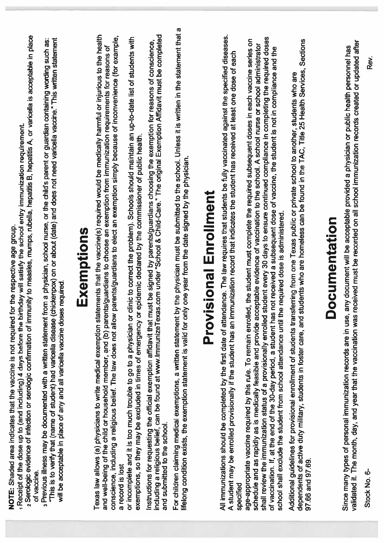| 2 Serologic evidence of infection or serologic confirmation of immunity to measles, mumps, rubella, hepatitis B, hepatitis A, or varicella is acceptable in place<br>birthday will satisfy the school entry immunization requirement.<br>NOTE: Shaded area indicates that the vaccine is not required for the respective age group.<br>Receipt of the dose up to (and including) 4 days before the<br>of vaccine.                                                                                                                                                                                                                                                                                                                     |
|---------------------------------------------------------------------------------------------------------------------------------------------------------------------------------------------------------------------------------------------------------------------------------------------------------------------------------------------------------------------------------------------------------------------------------------------------------------------------------------------------------------------------------------------------------------------------------------------------------------------------------------------------------------------------------------------------------------------------------------|
| "This is to verify that (name of student) had varicella disease (chickenpox) on or about (date) and does not need varicella vaccine." This written statement<br>a Previous illness may be documented with a written statement from a physician, school nurse, or the child's parent or guardian containing wording such as:<br>will be acceptable in place of any and all varicella vaccine doses required                                                                                                                                                                                                                                                                                                                            |
| Exemptions                                                                                                                                                                                                                                                                                                                                                                                                                                                                                                                                                                                                                                                                                                                            |
| Texas law allows (a) physicians to write medical exemption statements that the vaccine(s) required would be medically harmful or injurious to the health<br>conscience, including a religious belief. The law does not allow parents/guardians to elect an exemption simply because of inconvenience (for example,<br>and well-being of the child or household member, and (b) parents/guardians to choose an exemption from immunization requirements for reasons of<br>a record is lost                                                                                                                                                                                                                                             |
| or incomplete and it is too much trouble to go to a physician or clinic to correct the problem). Schools should maintain an up-to-date list of students with<br>or epidemic declared by the commissioner of public health<br>exemptions, so they may be excluded in times of emergency                                                                                                                                                                                                                                                                                                                                                                                                                                                |
| Instructions for requesting the official exemption affidavit that must be signed by parents/guardians choosing the exemption for reasons of conscience,<br>including a religious belief, can be found at www.ImmunizeTexas.com un<br>and submitted to the school.                                                                                                                                                                                                                                                                                                                                                                                                                                                                     |
| For children claiming medical exemptions, a written statement by the physician must be submitted to the school. Unless it is written in the statement that a<br>lifelong condition exists, the exemption statement is valid for only one year from the date signed by the physician                                                                                                                                                                                                                                                                                                                                                                                                                                                   |
| <b>Provisional Enrollment</b>                                                                                                                                                                                                                                                                                                                                                                                                                                                                                                                                                                                                                                                                                                         |
| All immunizations should be completed by the first date of attendance. The law requires that students be fully vaccinated against the specified diseases.<br>immunization record that indicates the student has received at least one dose of each<br>A student may be enrolled provisionally if the student has an<br>specified                                                                                                                                                                                                                                                                                                                                                                                                      |
| shall review the immunization status of a provisionally enrolled student every 30 days to ensure continued compliance in completing the required doses<br>age-appropriate vaccine required by this rule. To remain enrolled, the student must complete the required subsequent doses in each vaccine series on<br>schedule and as rapidly as is medically feasible and provide acceptable evidence of vaccination to the school. A school nurse or school administrator<br>of vaccination. If, at the end of the 30-day period, a student has not received a subsequent dose of vaccine, the student is not in compliance and the<br>school shall exclude the student from school attendance until the required dose is administered. |
| dependents of active duty military, students in foster care, and students who are homeless can be found in the TAC, Title 25 Health Services, Sections<br>Additional guidelines for provisional enrollment of students transferring from one Texas public or private school to another, students who are<br>97.66 and 97.69.                                                                                                                                                                                                                                                                                                                                                                                                          |
| <b>Documentation</b>                                                                                                                                                                                                                                                                                                                                                                                                                                                                                                                                                                                                                                                                                                                  |
| s received must be recorded on all school immunization records created or updated after<br>Since many types of personal immunization records are in use, any document will be acceptable provided a physician or public health personnel has<br>validated it. The month, day, and year that the vaccination was received mus                                                                                                                                                                                                                                                                                                                                                                                                          |
| Rev.<br>Stock No. 6-                                                                                                                                                                                                                                                                                                                                                                                                                                                                                                                                                                                                                                                                                                                  |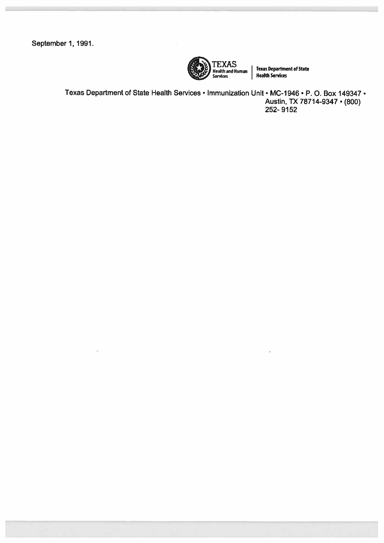September 1, 1991.



**Texas Department of State** Health Services

Texas Department of State Health Services • Immunization Unit • MC-1946 • P. O. Box 149347 • Austin, TX 78714-9347 • (800) 252-9152